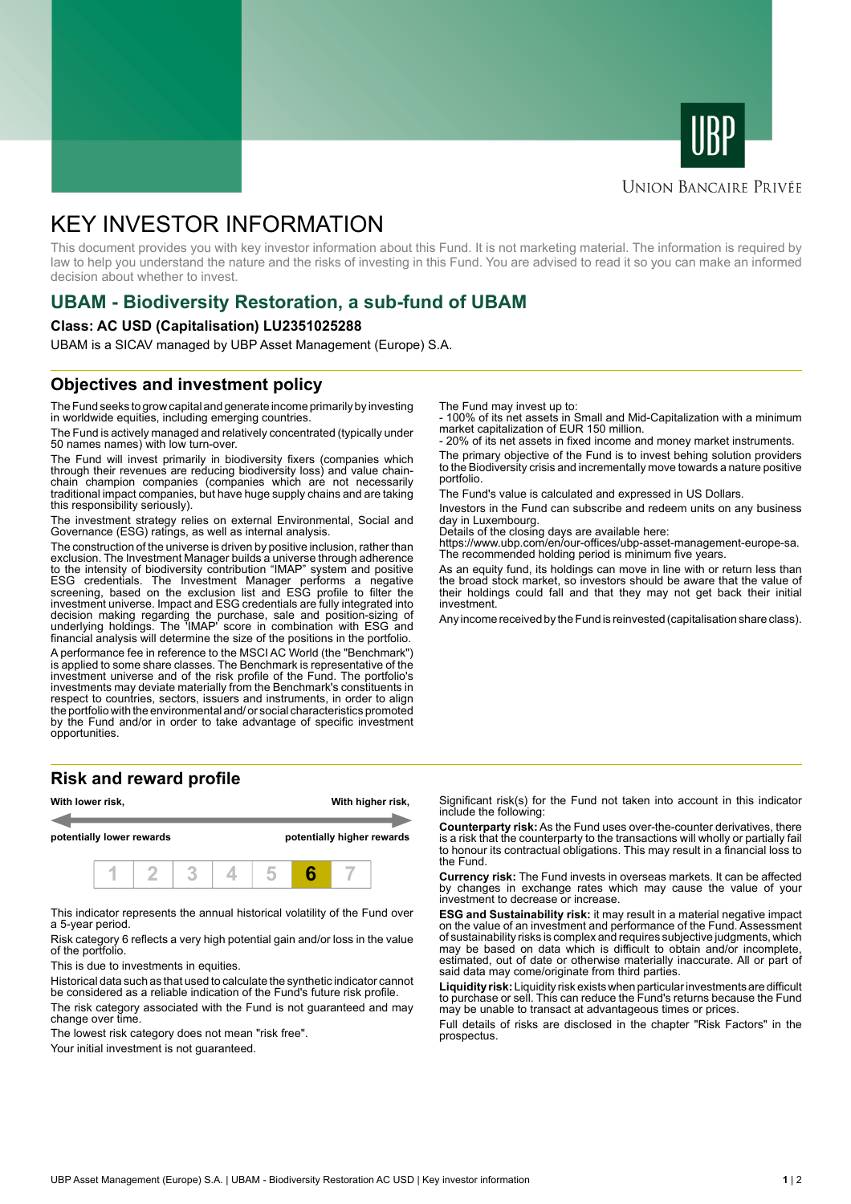



### **UNION BANCAIRE PRIVÉE**

# KEY INVESTOR INFORMATION

This document provides you with key investor information about this Fund. It is not marketing material. The information is required by law to help you understand the nature and the risks of investing in this Fund. You are advised to read it so you can make an informed decision about whether to invest.

# **UBAM - Biodiversity Restoration, a sub-fund of UBAM**

#### **Class: AC USD (Capitalisation) LU2351025288**

UBAM is a SICAV managed by UBP Asset Management (Europe) S.A.

# **Objectives and investment policy**

The Fund seeks to grow capital and generate income primarily by investing in worldwide equities, including emerging countries.

The Fund is actively managed and relatively concentrated (typically under 50 names names) with low turn-over.

The Fund will invest primarily in biodiversity fixers (companies which through their revenues are reducing biodiversity loss) and value chainchain champion companies (companies which are not necessarily traditional impact companies, but have huge supply chains and are taking this responsibility seriously).

The investment strategy relies on external Environmental, Social and Governance (ESG) ratings, as well as internal analysis.

The construction of the universe is driven by positive inclusion, rather than exclusion. The Investment Manager builds a universe through adherence to the intensity of biodiversity contribution "IMAP" system and positive ESG credentials. The Investment Manager performs a negative screening, based on the exclusion list and ESG profile to filter the investment universe. Impact and ESG credentials are fully integrated into decision making regarding the purchase, sale and position-sizing of underlying holdings. The 'IMAP' score in combination with ESG and financial analysis will determine the size of the positions in the portfolio.

A performance fee in reference to the MSCI AC World (the "Benchmark") is applied to some share classes. The Benchmark is representative of the investment universe and of the risk profile of the Fund. The portfolio's investments may deviate materially from the Benchmark's constituents in respect to countries, sectors, issuers and instruments, in order to align the portfolio with the environmental and/ or social characteristics promoted by the Fund and/or in order to take advantage of specific investment opportunities.

#### **Risk and reward profile**



This indicator represents the annual historical volatility of the Fund over a 5-year period.

Risk category 6 reflects a very high potential gain and/or loss in the value of the portfolio.

This is due to investments in equities.

Historical data such as that used to calculate the synthetic indicator cannot be considered as a reliable indication of the Fund's future risk profile.

The risk category associated with the Fund is not guaranteed and may change over time.

The lowest risk category does not mean "risk free".

Your initial investment is not guaranteed.

The Fund may invest up to:

- 100% of its net assets in Small and Mid-Capitalization with a minimum market capitalization of EUR 150 million.

20% of its net assets in fixed income and money market instruments.

The primary objective of the Fund is to invest behing solution providers to the Biodiversity crisis and incrementally move towards a nature positive portfolio.

The Fund's value is calculated and expressed in US Dollars.

Investors in the Fund can subscribe and redeem units on any business day in Luxembourg.

Details of the closing days are available here:

https://www.ubp.com/en/our-offices/ubp-asset-management-europe-sa. The recommended holding period is minimum five years.

As an equity fund, its holdings can move in line with or return less than the broad stock market, so investors should be aware that the value of their holdings could fall and that they may not get back their initial investment.

Any income received by the Fund is reinvested (capitalisation share class).

Significant risk(s) for the Fund not taken into account in this indicator include the following:

**Counterparty risk:** As the Fund uses over-the-counter derivatives, there is a risk that the counterparty to the transactions will wholly or partially fail to honour its contractual obligations. This may result in a financial loss to the Fund.

**Currency risk:** The Fund invests in overseas markets. It can be affected by changes in exchange rates which may cause the value of your investment to decrease or increase.

**ESG and Sustainability risk:** it may result in a material negative impact on the value of an investment and performance of the Fund. Assessment of sustainability risks is complex and requires subjective judgments, which may be based on data which is difficult to obtain and/or incomplete, estimated, out of date or otherwise materially inaccurate. All or part of said data may come/originate from third parties.

**Liquidity risk:** Liquidity risk exists when particular investments are difficult to purchase or sell. This can reduce the Fund's returns because the Fund may be unable to transact at advantageous times or prices.

Full details of risks are disclosed in the chapter "Risk Factors" in the prospectus.